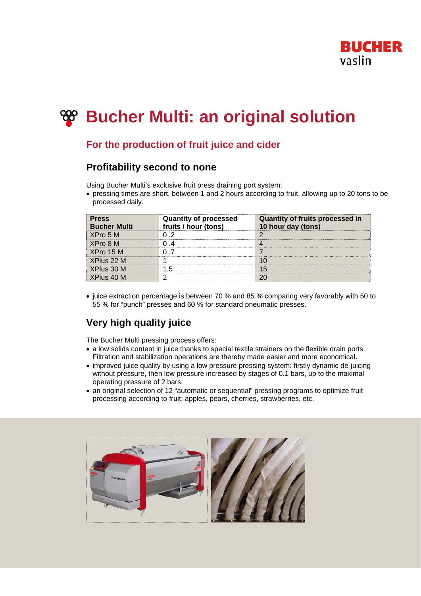

# **Bucher Multi: an original solution**

### **For the production of fruit juice and cider**

### **Profitability second to none**

Using Bucher Multi's exclusive fruit press draining port system:

• pressing times are short, between 1 and 2 hours according to fruit, allowing up to 20 tons to be processed daily.

| <b>Press</b><br><b>Bucher Multi</b> | <b>Quantity of processed</b><br>fruits / hour (tons) | <b>Quantity of fruits processed in</b><br>10 hour day (tons) |
|-------------------------------------|------------------------------------------------------|--------------------------------------------------------------|
| XPro 5 M                            |                                                      |                                                              |
| XPro 8 M                            |                                                      |                                                              |
| XPro 15 M                           |                                                      |                                                              |
| XPlus 22 M                          |                                                      |                                                              |
| XPlus 30 M                          |                                                      |                                                              |
| XPlus 40 M                          |                                                      |                                                              |

• juice extraction percentage is between 70 % and 85 % comparing very favorably with 50 to 55 % for "punch" presses and 60 % for standard pneumatic presses.

## **Very high quality juice**

The Bucher Multi pressing process offers:

- a low solids content in juice thanks to special textile strainers on the flexible drain ports. Filtration and stabilization operations are thereby made easier and more economical.
- improved juice quality by using a low pressure pressing system: firstly dynamic de-juicing without pressure, then low pressure increased by stages of 0.1 bars, up to the maximal operating pressure of 2 bars.
- an original selection of 12 "automatic or sequential" pressing programs to optimize fruit processing according to fruit: apples, pears, cherries, strawberries, etc.